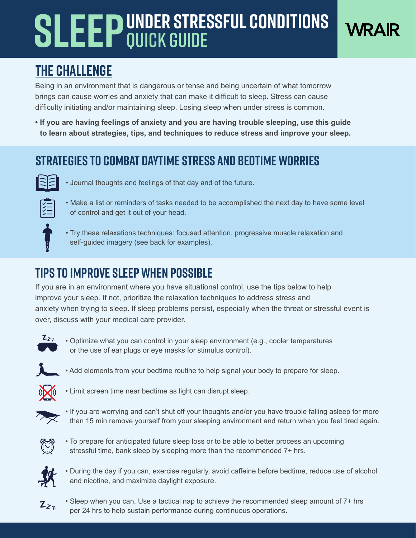# **SLEEP** UNDER STRESSFUL CONDITIONS Quick guide



## **The Challenge**

Being in an environment that is dangerous or tense and being uncertain of what tomorrow brings can cause worries and anxiety that can make it difficult to sleep. Stress can cause difficulty initiating and/or maintaining sleep. Losing sleep when under stress is common.

**• If you are having feelings of anxiety and you are having trouble sleeping, use this guide to learn about strategies, tips, and techniques to reduce stress and improve your sleep.**

### **Strategies to combat daytime stress and bedtime worries**

• Journal thoughts and feelings of that day and of the future.



• Make a list or reminders of tasks needed to be accomplished the next day to have some level of control and get it out of your head.



• Try these relaxations techniques: focused attention, progressive muscle relaxation and self-guided imagery (see back for examples).

### **Tips to improve sleep when possible**

If you are in an environment where you have situational control, use the tips below to help improve your sleep. If not, prioritize the relaxation techniques to address stress and anxiety when trying to sleep. If sleep problems persist, especially when the threat or stressful event is over, discuss with your medical care provider.



• Optimize what you can control in your sleep environment (e.g., cooler temperatures or the use of ear plugs or eye masks for stimulus control).



• Add elements from your bedtime routine to help signal your body to prepare for sleep.



• Limit screen time near bedtime as light can disrupt sleep.



• If you are worrying and can't shut off your thoughts and/or you have trouble falling asleep for more than 15 min remove yourself from your sleeping environment and return when you feel tired again.



• To prepare for anticipated future sleep loss or to be able to better process an upcoming stressful time, bank sleep by sleeping more than the recommended 7+ hrs.



• During the day if you can, exercise regularly, avoid caffeine before bedtime, reduce use of alcohol and nicotine, and maximize daylight exposure.



• Sleep when you can. Use a tactical nap to achieve the recommended sleep amount of 7+ hrs per 24 hrs to help sustain performance during continuous operations.